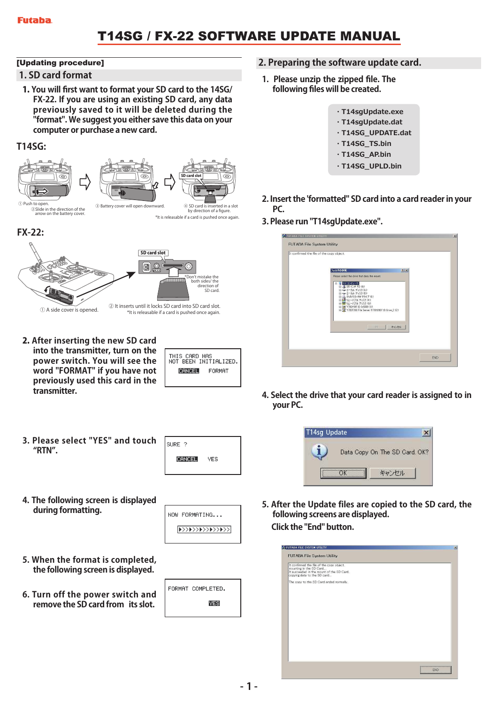## T14SG / FX-22 SOFTWARE UPDATE MANUAL

#### [Updating procedure]

#### **1. SD card format**

1. **You will first want to format your SD card to the 14SG/ FX-22. If you are using an existing SD card, any data previously saved to it will be deleted during the "format". We suggest you either save this data on your computer or purchase a new card.**

#### **T14SG:**





#### ②Slide in the direction of the arrow on the battery cover.

by direction of a figure. \*It is releasable if a card is pushed once again.





2. **After inserting the new SD card into the transmitter, turn on the power switch. You will see the word "FORMAT" if you have not previously used this card in the transmitter.** 

| THIS CARD HAS | NOT BEEN INITIALIZED. |
|---------------|-----------------------|
| CHNCELL       | FORMAT                |
|               |                       |

**3. Please select "YES" and touch "RTN".**

| SURE ?        |     |
|---------------|-----|
| <b>CANCEL</b> | YES |
|               |     |

**4. The following screen is displayed during formatting.**

NOW FORMATING...  $\sqrt{\frac{\zeta\zeta\left(\frac{1}{2}+\zeta\right)\zeta\left(\frac{1}{2}+\zeta\right)\zeta\left(\frac{1}{2}+\zeta\right)\zeta\left(\frac{1}{2}+\zeta\right)}{2\zeta\left(\frac{1}{2}+\zeta\right)\zeta\left(\frac{1}{2}+\zeta\right)}}$ 

- **5. When the format is completed, the following screen is displayed.**
- **6. Turn off the power switch and remove the SD card from its slot.**

| ORMAT COMPLETED. |  |
|------------------|--|
| WES              |  |
|                  |  |

#### **2. Preparing the software update card.**

- **1. Please unzip the zipped file. The following files will be created.**
	- **・T14sgUpdate.exe ・T14sgUpdate.dat ・T14SG\_UPDATE.dat ・T14SG\_TS.bin ・T14SG\_AP.bin ・T14SG\_UPLD.bin**
- **2. Insert the 'formatted" SD card into a card reader in your PC.**
- **3. Please run "T14sgUpdate.exe".**

|  | Please select the drive that does the mount.<br>$2771 - 6$<br>Θ<br>田 越 35 インチ FD (A)<br>iii <= 0-カル ディスク (C)<br>iii <a (d)<br="" 0-カル="" ディスク="">中心 DVD/CD-RW ドライブ (E)<br/>田 トリムーバブル ディスク(F)<br/>由置リムーバブルディスク(G)<br/>E Se 1702f190' @ Cr5000 00<br/>E SP 1702F200 File Server (1702f200)' @ Drive Z (Z)</a> | キャンセル<br>GK. |  |
|--|-------------------------------------------------------------------------------------------------------------------------------------------------------------------------------------------------------------------------------------------------------------------------------------------------------------|--------------|--|
|--|-------------------------------------------------------------------------------------------------------------------------------------------------------------------------------------------------------------------------------------------------------------------------------------------------------------|--------------|--|

**4. Select the drive that your card reader is assigned to in your PC.**



**5. After the Update files are copied to the SD card, the following screens are displayed. Click the "End" button.** 

| <b>EFUTABA FILE SYSTEM UTILITY</b>                                                                                                               | $\overline{\mathbf{x}}$ |
|--------------------------------------------------------------------------------------------------------------------------------------------------|-------------------------|
| <b>FUTABA File System Utility</b>                                                                                                                |                         |
| It confirmed the file of the copy object.<br>mounting in the SD Card<br>It succeeded in the mount of the SD Card.<br>copying data to the SD card |                         |
| The copy to the SD Card ended normally.                                                                                                          |                         |
|                                                                                                                                                  |                         |
|                                                                                                                                                  |                         |
|                                                                                                                                                  |                         |
|                                                                                                                                                  |                         |
|                                                                                                                                                  |                         |
|                                                                                                                                                  |                         |
|                                                                                                                                                  |                         |
|                                                                                                                                                  | END                     |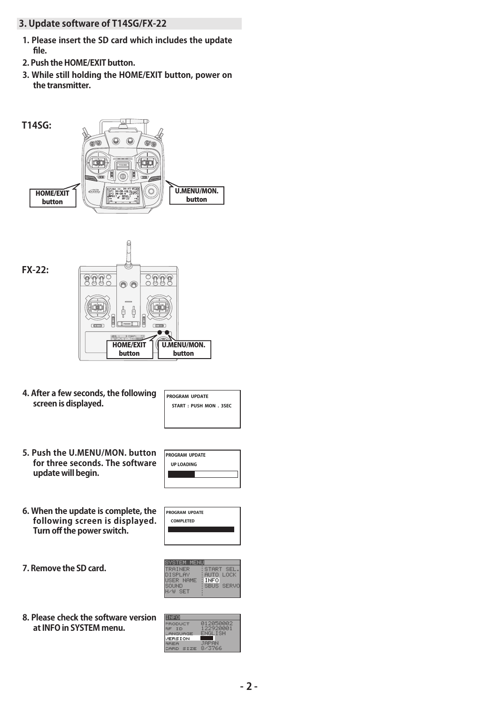- **3. Update software of T14SG/FX-22** 
	- **1. Please insert the SD card which includes the update file.**
- **2. Push the HOME/EXIT button.**
- **3. While still holding the HOME/EXIT button, power on the transmitter.**





**4. After a few seconds, the following screen is displayed.** 

| PROGRAM UPDATE        |  |
|-----------------------|--|
| START: PUSH MON. 3SEC |  |
|                       |  |
|                       |  |

**5. Push the U.MENU/MON. button for three seconds. The software update will begin.** 

| <b>PROGRAM UPDATE</b> |  |  |
|-----------------------|--|--|
| UP LOADING            |  |  |
|                       |  |  |
|                       |  |  |

**6. When the update is complete, the following screen is displayed. Turn off the power switch.** 

| <b>PROGRAM UPDATE</b> |  |
|-----------------------|--|
| <b>COMPLETED</b>      |  |
|                       |  |
|                       |  |

**7. Remove the SD card.** 

| VSTEM                                                 |                                                                    |
|-------------------------------------------------------|--------------------------------------------------------------------|
| TRAINER<br>NISPI AV<br><b>ISER NAME</b><br><b>SET</b> | START.<br>SE<br>AUTO -<br>LOCK<br><b>INFO</b><br><b>SBUS SERVO</b> |

**8. Please check the software version at INFO in SYSTEM menu.** 

| <b>INFO</b>    |           |
|----------------|-----------|
| RODUCT         | 012050002 |
| E ID           | 122920001 |
| .ANGUAGE       | ENGLISH   |
| <b>/ERSION</b> |           |
| <b>IREA</b>    | JAPAN     |
| ARD SIZE:      | 8/3766    |
|                |           |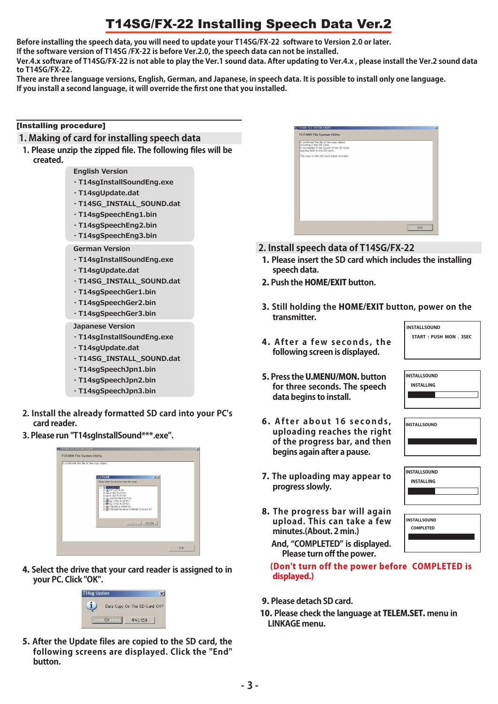# T14SG/FX-22 Installing Speech Data Ver.2

**Before installing the speech data, you will need to update your T14SG/FX-22 software to Version 2.0 or later. If the software version of T14SG /FX-22 is before Ver.2.0, the speech data can not be installed.**

**Ver.4.x software of T14SG/FX-22 is not able to play the Ver.1 sound data. After updating to Ver.4.x , please install the Ver.2 sound data to T14SG/FX-22.**

**There are three language versions, English, German, and Japanese, in speech data. It is possible to install only one language. If you install a second language, it will override the first one that you installed.** 

#### [Installing procedure]

- **1. Making of card for installing speech data**
- **1. Please unzip the zipped file. The following files will be created.**

**English Version**

- **・T14sgInstallSoundEng.exe**
- **・T14sgUpdate.dat**
- **・T14SG\_INSTALL\_SOUND.dat**
- **・T14sgSpeechEng1.bin**
- **・T14sgSpeechEng2.bin**
- **・T14sgSpeechEng3.bin**
- **German Version**
- **・T14sgInstallSoundEng.exe**
- **・T14sgUpdate.dat**
- **・T14SG\_INSTALL\_SOUND.dat**
- **・T14sgSpeechGer1.bin**
- **・T14sgSpeechGer2.bin**
- **・T14sgSpeechGer3.bin**
- **Japanese Version**
- **・T14sgInstallSoundEng.exe**
- **・T14sgUpdate.dat**
- **・T14SG\_INSTALL\_SOUND.dat**
- **・T14sgSpeechJpn1.bin**
- **・T14sgSpeechJpn2.bin**
- **・T14sgSpeechJpn3.bin**
- **2. Install the already formatted SD card into your PC's card reader.**
- **3. Please run "T14sgInstallSound\*\*\*.exe".**

| It confirmed the file of the copy object |                                                                                                                                                                                                                                |       |  |
|------------------------------------------|--------------------------------------------------------------------------------------------------------------------------------------------------------------------------------------------------------------------------------|-------|--|
|                                          | フォルダの参照                                                                                                                                                                                                                        | 7 X   |  |
|                                          | Please select the drive that does the mount-                                                                                                                                                                                   |       |  |
|                                          | マイコンピュータ<br>Θ<br>■ 35 インチ FD (A)<br>H = D-カル ディスク ©2<br>H = ローカル ディスク(D)<br>A DVD/CD-RW F54 7 (E)<br>トリムーバブル ディスク (F)<br>※■リムーバブルディスク(3)<br>B SC 17021190' @ Cr5000 00<br>(e) Se 1702F200 File Server (1702f2007 @ Drive Z (2) |       |  |
|                                          | OU                                                                                                                                                                                                                             | キャンセル |  |
|                                          |                                                                                                                                                                                                                                |       |  |
|                                          |                                                                                                                                                                                                                                |       |  |

4. **Select the drive that your card reader is assigned to in your PC. Click "OK".** 



5. **After the Update files are copied to the SD card, the following screens are displayed. Click the "End" button.** 

| It confirmed the file of the copy object.                                                           |  |
|-----------------------------------------------------------------------------------------------------|--|
| mounting in the SD Card<br>It succeeded in the mount of the SD Card.<br>copying data to the SD card |  |
| The copy to the SD Card ended normally.                                                             |  |
|                                                                                                     |  |
|                                                                                                     |  |
|                                                                                                     |  |
|                                                                                                     |  |
|                                                                                                     |  |
|                                                                                                     |  |
|                                                                                                     |  |
|                                                                                                     |  |
|                                                                                                     |  |
|                                                                                                     |  |

- **2. Install speech data of T14SG/FX-22**
- 1. **Please insert the SD card which includes the installing speech data.**
- 2. **Push the** HOME/EXIT **button.**
- 3. **Still holding the** HOME/EXIT **button, power on the transmitter. INSTALLSOUND**
- 4. After a few seconds, the **following screen is displayed.**

**START : PUSH MON . 3SEC**

**INSTALLSOUND INSTALLING**

**INSTALLSOUND INSTALLING**

**INSTALLSOUND** 

- 5. **Press the** U.MENU/MON. **button for three seconds. The speech data begins to install.**
- 6 . **A f t e r a b o u t 16 s e c o n d s , uploading reaches the right of the progress bar, and then begins again after a pause.**
- 7. **The uploading may appear to progress slowly.**
- 8. **The progress bar will again upload. This can take a few minutes.(About. 2 min.)**

| <b>I</b> INSTALLSOUND |  |
|-----------------------|--|
| <b>COMPLETED</b>      |  |
|                       |  |

**And, "COMPLETED" is displayed. Please turn off the power.**

(Don't turn off the power before COMPLETED is displayed.)

- 9. **Please detach SD card.**
- 10. **Please check the language at** TELEM.SET. **menu in LINKAGE menu.**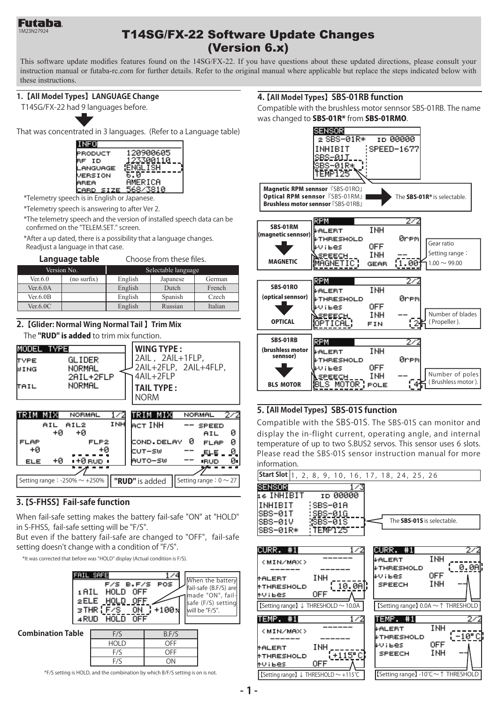

## 1M23N27924 **T14SG/FX-22 Software Update Changes** (Version 6.x)

This software update modifies features found on the 14SG/FX-22. If you have questions about these updated directions, please consult your instruction manual or futaba-rc.com for further details. Refer to the original manual where applicable but replace the steps indicated below with these instructions.

#### **1.【All Model Types】 LANGUAGE Change**

T14SG/FX-22 had 9 languages before.

That was concentrated in 3 languages. (Refer to a Language table)



\*Telemetry speech is in English or Japanese.

\*Telemetry speech is answering to after Ver 2.

\*The telemetry speech and the version of installed speech data can be confirmed on the "TELEM.SET." screen.

\*After a up dated, there is a possibility that a language changes. Readjust a language in that case.

#### **Language table** Choose from these files.

|           | Version No. | Selectable language |          |         |
|-----------|-------------|---------------------|----------|---------|
| Ver. 6.0  | (no surfix) | English             | Japanese | German  |
| Ver.6.0A  |             | English             | Dutch    | French  |
| Ver.6.0B  |             | English             | Spanish  | Czech   |
| Ver. 6.0C |             | English             | Russian  | Italian |

#### **2.【Glider: Normal Wing Normal Tail 】 Trim Mix** The "RUD" is added to trim mix function.

| MODEL TYPE                                    |                               |     | <b>WING TYPE:</b>                                              |   |                             |    |
|-----------------------------------------------|-------------------------------|-----|----------------------------------------------------------------|---|-----------------------------|----|
| TYPE<br>WING                                  | GLIDER<br>NORMAL<br>2AIL+2FLP |     | 2AIL, 2AIL+1FLP,<br>2AIL+2FLP, 2AIL+4FLP,<br>$4$ All $+2$ FI P |   |                             |    |
| TAIL                                          | NORMAL                        |     | <b>TAIL TYPE:</b><br><b>NORM</b>                               |   |                             |    |
| TRIM MIX                                      | NORMAL                        |     | TRIM MIXI                                                      |   | NORMAL                      |    |
| AIL<br>+й                                     | AIL2<br>+й                    | INH | lect INH                                                       |   | <b>SPEED</b><br>AIL         | ø  |
| <b>FLAP</b>                                   | FLP2                          |     | COND.DELAY                                                     | ø | <b>FLAP</b>                 | ø  |
| 40                                            | +Й                            |     | CUT-SW                                                         |   | 모나타                         | ø  |
| +Ø<br><b>ELE</b>                              | ∎+0 sup ∎                     |     | AUTO-SW                                                        |   | <b>IRUD</b>                 | ø. |
|                                               |                               |     |                                                                |   |                             |    |
| Setting range $\therefore$ -250% $\sim$ +250% |                               |     | "RUD" is added                                                 |   | Setting range : $0 \sim 27$ |    |

#### **3. 【S-FHSS】 Fail-safe function**

When fail-safe setting makes the battery fail-safe "ON" at "HOLD" in S-FHSS, fail-safe setting will be "F/S".

But even if the battery fail-safe are changed to "OFF", fail-safe setting doesn't change with a condition of "F/S".

\*It was corrected that before was "HOLD" display (Actual condition is F/S).



<sup>\*</sup>F/S setting is HOLD, and the combination by which B/F/S setting is on is not.

#### **4. 【All Model Types】 SBS-01RB function**

Compatible with the brushless motor sennsor SBS-01RB. The name was changed to SBS-01R<sup>\*</sup> from SBS-01RMO.



#### **5. 【All Model Types】 SBS-01S function**

Compatible with the SBS-01S. The SBS-01S can monitor and display the in-flight current, operating angle, and internal temperature of up to two S.BUS2 servos. This sensor uses 6 slots. Please read the SBS-01S sensor instruction manual for more information.

| Start Slot 1, 2, 8, 9, 10, 16, 17, 18, 24, 25, 26                                                                                         |                                                                                                                  |
|-------------------------------------------------------------------------------------------------------------------------------------------|------------------------------------------------------------------------------------------------------------------|
| SENSORI<br>16 INHIBIT<br>ID 00000<br>INHIBIT<br>¦SBS—01A<br>SBS-01T<br>: <u>SBS-01G</u><br>$$SBS-01S$<br>SBS-01V<br>:TEMP125<br>ISBS-01R∗ | The SBS-01S is selectable.                                                                                       |
| CURR. #1<br>1/2<br><min max=""><br/>INH<br/><b>MALERT</b><br/><math>-10.0</math>Al<br/><b>MTHRESHOLD</b><br/>OFF<br/>tVibes.</min>        | CURR. #1<br>272<br>INH<br><b><i>VALERT</i></b><br>0.0AK<br><b>FTHRESHOLD</b><br>0FF<br>kv∶ьes –<br>INH<br>SPEECH |
| $\sqrt{\text{Setting range}} \downarrow \text{THRESHOLD} \sim 10.0 \text{A}$                                                              | [Setting range] 0.0A ~ ↑ THRESHOLD                                                                               |
| TEMP.#1<br>1/2<br><min max=""></min>                                                                                                      | TEMP. #1<br>2/2<br>INH<br>⊬ALERT<br>(−10°С<br><b>FTHRESHOLD</b>                                                  |
| INH<br><b>MALERT</b><br>$\pm 115^{\circ}$ C<br><b>MTHRESHOLD</b><br><b>OFF</b><br>tVibes –                                                | 0FF<br>∔Vibes —<br>INH<br>SPEECH                                                                                 |
| [Setting range] ↓ THRESHOLD $\sim$ +115°C                                                                                                 | [Setting range] -10℃ $\sim$ ↑ THRESHOLD                                                                          |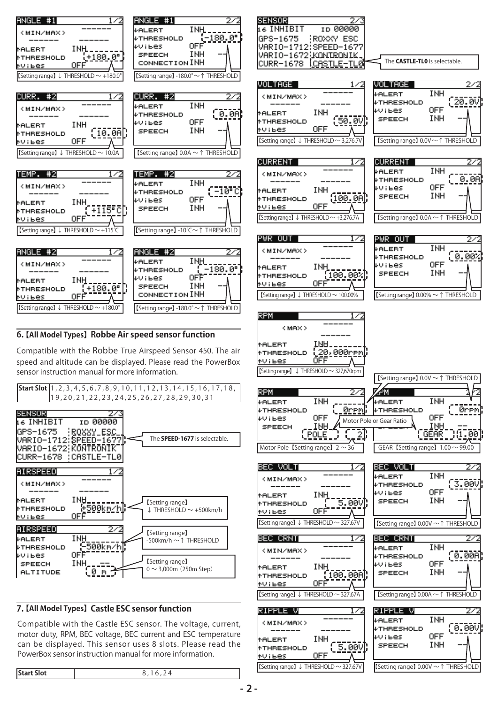

#### **6. 【All Model Types】 Robbe Air speed sensor function**

Compatible with the Robbe True Airspeed Sensor 450. The air speed and altitude can be displayed. Please read the PowerBox sensor instruction manual for more information.



#### **7. 【All Model Types】 Castle ESC sensor function**

Compatible with the Castle ESC sensor. The voltage, current, motor duty, RPM, BEC voltage, BEC current and ESC temperature can be displayed. This sensor uses 8 slots. Please read the PowerBox sensor instruction manual for more information.

| GPS-1675<br>ROXXY ESC<br>VARIO-1712:SPEED-1677<br>VARIO-1672¦KONIRONIK<br>The CASTLE-TLO is selectable.<br>CURR-1678<br><u>icastle-tl</u> @<br>VOLTAGE<br>VOLTAGE<br>INH<br><b>↓ALERT</b><br><min max=""><br/>20.00<br/>₽THRESHOLD<br/>OFF<br/>≉ViBes<br/>INH<br/>tALERT<br/>INH<br/>SPEECH<br/>50.0V∬<br/><b>tTHRESHOLD</b><br/>OFF<br/>tvibes –<br/>[Setting range] 0.0V ~ ↑ THRESHOLD<br/>[Setting range] <math>\downarrow</math> THRESHOLD <math>\sim</math> 3,276.7\<br/>CURRENT<br/>CURRENT<br/>INH<br/>↓ALERT<br/><min max=""><br/>0.0A<br/><b><i>FHRESHOLD</i></b><br/><b>OFF</b><br/>₽ViBes<br/>INH<br/>tALERT<br/>INH<br/><b>SPEECH</b><br/>100.00<br/><b><i><u>ATHRESHOLD</u></i></b><br/><u>OFF</u><br/>tV i bes<br/>[Setting range] 0.0A ~ ↑ THRESHOLD<br/>[Setting range] <math>\downarrow</math> THRESHOLD <math>\sim</math> +3,276.7A<br/>PWR OUT<br/>PWR OUT<br/>INH<br/><b><i>FALERT</i></b><br/>(MIN/MAX)<br/>0.00%<br/>↓THRESHOLD<br/>OFF<br/>#Vibes<br/>INH<br/>tALERT<br/>INH<br/><b>SPEECH</b><br/>[100.002]<br/>tHRESHOLD*<br/><b>OFF</b><br/><u>tvibes —</u><br/>【Setting range】 0.00% ~ ↑ THRESHOLD<br/>[Setting range] <math>\downarrow</math> THRESHOLD <math>\sim</math> 100.00%<br/>RPM<br/>&lt; MAX &gt;<br/><b>IRIH</b><br/>tALERT<br/><u>(20,000rթով</u>,<br/><b><i><u>MTHRESHOLD</u></i></b><br/>NV i bes<br/>[Setting range] <math>\downarrow</math> THRESHOLD <math>\sim</math> 327,670rpm<br/>[Setting range] 0.0V ~ ↑ THRESHOLD<br/><b>RPM</b><br/>ÆМ<br/>INH<br/>INH<br/>+ALERT<br/>↓ALERT<br/><b>+THRESHOLD</b><br/>₽THRESHOLD<br/>Øremj<br/><u>grem</u>,<br/>0FF<br/>OFF<br/>rvibes.<br/>Motor Pole or Gear Ratio<br/>INH,<br/>1PA<br/>SPEECH<br/><b>GEAR</b><br/>[1.00]<br/>' POLE<br/>GEAR [Setting range] <math>1.00 \sim 99.00</math><br/>Motor Pole <i>[Setting range]</i> <math>2 \sim 36</math><br/>BEC VOLT<br/>BEC VOLT<br/>1⁄<br/>INH<br/>↓ALERT<br/>(MIN/MAX)<br/>[3.000]<br/><b><i>FHRESHOLD</i></b><br/>OFF<br/>≠V¦Bes<br/>INH<br/>tALERT.<br/>INH<br/>5.00V)<br/><b>SPEECH</b><br/><b><i><u>MTHRESHOLD</u></i></b><br/>OFF<br/>NV I Bes<br/>【Setting range】↓ THRESHOLD ~ 327.67V<br/>【Setting range】 0.00V ~ ↑ THRESHOLD<br/>BEC CRNT<br/>BEC CRNT<br/>2/2<br/>INH<br/>+ALERT<br/><min max=""><br/>[0.000]<br/>₽THRESHOLD<br/>OFF<br/>₽Vi6es<br/>INH<br/>tALERT<br/>INH<br/>SPEECH<br/>(100.000)<br/><b>tHRESHOLD</b><br/><u>OFF</u><br/>tvibes –<br/>【Setting range】↓ THRESHOLD ~ 327.67A<br/>[Setting range] 0.00A ~↑ THRESHOLD<br/>RIPPLE V<br/>RIPPLE V<br/>272<br/>INH<br/><b>+ALERT</b><br/><min max=""><br/>(0.00<br/>↓THRESHOLD<br/>OFF<br/>₽Vibes<br/>INH<br/>tALERT<br/>INH<br/>SPEECH<br/>5.00V<br/><b>tTHRESHOLD</b><br/>OFF<br/>tVibes.</min></min></min></min> | <b>SENSOR</b><br>27                  |                                     |
|-------------------------------------------------------------------------------------------------------------------------------------------------------------------------------------------------------------------------------------------------------------------------------------------------------------------------------------------------------------------------------------------------------------------------------------------------------------------------------------------------------------------------------------------------------------------------------------------------------------------------------------------------------------------------------------------------------------------------------------------------------------------------------------------------------------------------------------------------------------------------------------------------------------------------------------------------------------------------------------------------------------------------------------------------------------------------------------------------------------------------------------------------------------------------------------------------------------------------------------------------------------------------------------------------------------------------------------------------------------------------------------------------------------------------------------------------------------------------------------------------------------------------------------------------------------------------------------------------------------------------------------------------------------------------------------------------------------------------------------------------------------------------------------------------------------------------------------------------------------------------------------------------------------------------------------------------------------------------------------------------------------------------------------------------------------------------------------------------------------------------------------------------------------------------------------------------------------------------------------------------------------------------------------------------------------------------------------------------------------------------------------------------------------------------------------------------------------------------------------------------------------------------------------------------------------------------------------------------------------------------------------------------------------------------------------------------------------------------------------|--------------------------------------|-------------------------------------|
|                                                                                                                                                                                                                                                                                                                                                                                                                                                                                                                                                                                                                                                                                                                                                                                                                                                                                                                                                                                                                                                                                                                                                                                                                                                                                                                                                                                                                                                                                                                                                                                                                                                                                                                                                                                                                                                                                                                                                                                                                                                                                                                                                                                                                                                                                                                                                                                                                                                                                                                                                                                                                                                                                                                                     | INHIBIT<br>ID 00000                  |                                     |
|                                                                                                                                                                                                                                                                                                                                                                                                                                                                                                                                                                                                                                                                                                                                                                                                                                                                                                                                                                                                                                                                                                                                                                                                                                                                                                                                                                                                                                                                                                                                                                                                                                                                                                                                                                                                                                                                                                                                                                                                                                                                                                                                                                                                                                                                                                                                                                                                                                                                                                                                                                                                                                                                                                                                     |                                      |                                     |
|                                                                                                                                                                                                                                                                                                                                                                                                                                                                                                                                                                                                                                                                                                                                                                                                                                                                                                                                                                                                                                                                                                                                                                                                                                                                                                                                                                                                                                                                                                                                                                                                                                                                                                                                                                                                                                                                                                                                                                                                                                                                                                                                                                                                                                                                                                                                                                                                                                                                                                                                                                                                                                                                                                                                     |                                      |                                     |
|                                                                                                                                                                                                                                                                                                                                                                                                                                                                                                                                                                                                                                                                                                                                                                                                                                                                                                                                                                                                                                                                                                                                                                                                                                                                                                                                                                                                                                                                                                                                                                                                                                                                                                                                                                                                                                                                                                                                                                                                                                                                                                                                                                                                                                                                                                                                                                                                                                                                                                                                                                                                                                                                                                                                     |                                      |                                     |
|                                                                                                                                                                                                                                                                                                                                                                                                                                                                                                                                                                                                                                                                                                                                                                                                                                                                                                                                                                                                                                                                                                                                                                                                                                                                                                                                                                                                                                                                                                                                                                                                                                                                                                                                                                                                                                                                                                                                                                                                                                                                                                                                                                                                                                                                                                                                                                                                                                                                                                                                                                                                                                                                                                                                     |                                      |                                     |
|                                                                                                                                                                                                                                                                                                                                                                                                                                                                                                                                                                                                                                                                                                                                                                                                                                                                                                                                                                                                                                                                                                                                                                                                                                                                                                                                                                                                                                                                                                                                                                                                                                                                                                                                                                                                                                                                                                                                                                                                                                                                                                                                                                                                                                                                                                                                                                                                                                                                                                                                                                                                                                                                                                                                     |                                      |                                     |
|                                                                                                                                                                                                                                                                                                                                                                                                                                                                                                                                                                                                                                                                                                                                                                                                                                                                                                                                                                                                                                                                                                                                                                                                                                                                                                                                                                                                                                                                                                                                                                                                                                                                                                                                                                                                                                                                                                                                                                                                                                                                                                                                                                                                                                                                                                                                                                                                                                                                                                                                                                                                                                                                                                                                     |                                      |                                     |
|                                                                                                                                                                                                                                                                                                                                                                                                                                                                                                                                                                                                                                                                                                                                                                                                                                                                                                                                                                                                                                                                                                                                                                                                                                                                                                                                                                                                                                                                                                                                                                                                                                                                                                                                                                                                                                                                                                                                                                                                                                                                                                                                                                                                                                                                                                                                                                                                                                                                                                                                                                                                                                                                                                                                     |                                      |                                     |
|                                                                                                                                                                                                                                                                                                                                                                                                                                                                                                                                                                                                                                                                                                                                                                                                                                                                                                                                                                                                                                                                                                                                                                                                                                                                                                                                                                                                                                                                                                                                                                                                                                                                                                                                                                                                                                                                                                                                                                                                                                                                                                                                                                                                                                                                                                                                                                                                                                                                                                                                                                                                                                                                                                                                     |                                      |                                     |
|                                                                                                                                                                                                                                                                                                                                                                                                                                                                                                                                                                                                                                                                                                                                                                                                                                                                                                                                                                                                                                                                                                                                                                                                                                                                                                                                                                                                                                                                                                                                                                                                                                                                                                                                                                                                                                                                                                                                                                                                                                                                                                                                                                                                                                                                                                                                                                                                                                                                                                                                                                                                                                                                                                                                     |                                      |                                     |
|                                                                                                                                                                                                                                                                                                                                                                                                                                                                                                                                                                                                                                                                                                                                                                                                                                                                                                                                                                                                                                                                                                                                                                                                                                                                                                                                                                                                                                                                                                                                                                                                                                                                                                                                                                                                                                                                                                                                                                                                                                                                                                                                                                                                                                                                                                                                                                                                                                                                                                                                                                                                                                                                                                                                     |                                      |                                     |
|                                                                                                                                                                                                                                                                                                                                                                                                                                                                                                                                                                                                                                                                                                                                                                                                                                                                                                                                                                                                                                                                                                                                                                                                                                                                                                                                                                                                                                                                                                                                                                                                                                                                                                                                                                                                                                                                                                                                                                                                                                                                                                                                                                                                                                                                                                                                                                                                                                                                                                                                                                                                                                                                                                                                     |                                      |                                     |
|                                                                                                                                                                                                                                                                                                                                                                                                                                                                                                                                                                                                                                                                                                                                                                                                                                                                                                                                                                                                                                                                                                                                                                                                                                                                                                                                                                                                                                                                                                                                                                                                                                                                                                                                                                                                                                                                                                                                                                                                                                                                                                                                                                                                                                                                                                                                                                                                                                                                                                                                                                                                                                                                                                                                     |                                      |                                     |
|                                                                                                                                                                                                                                                                                                                                                                                                                                                                                                                                                                                                                                                                                                                                                                                                                                                                                                                                                                                                                                                                                                                                                                                                                                                                                                                                                                                                                                                                                                                                                                                                                                                                                                                                                                                                                                                                                                                                                                                                                                                                                                                                                                                                                                                                                                                                                                                                                                                                                                                                                                                                                                                                                                                                     |                                      |                                     |
|                                                                                                                                                                                                                                                                                                                                                                                                                                                                                                                                                                                                                                                                                                                                                                                                                                                                                                                                                                                                                                                                                                                                                                                                                                                                                                                                                                                                                                                                                                                                                                                                                                                                                                                                                                                                                                                                                                                                                                                                                                                                                                                                                                                                                                                                                                                                                                                                                                                                                                                                                                                                                                                                                                                                     |                                      |                                     |
|                                                                                                                                                                                                                                                                                                                                                                                                                                                                                                                                                                                                                                                                                                                                                                                                                                                                                                                                                                                                                                                                                                                                                                                                                                                                                                                                                                                                                                                                                                                                                                                                                                                                                                                                                                                                                                                                                                                                                                                                                                                                                                                                                                                                                                                                                                                                                                                                                                                                                                                                                                                                                                                                                                                                     |                                      |                                     |
|                                                                                                                                                                                                                                                                                                                                                                                                                                                                                                                                                                                                                                                                                                                                                                                                                                                                                                                                                                                                                                                                                                                                                                                                                                                                                                                                                                                                                                                                                                                                                                                                                                                                                                                                                                                                                                                                                                                                                                                                                                                                                                                                                                                                                                                                                                                                                                                                                                                                                                                                                                                                                                                                                                                                     |                                      |                                     |
|                                                                                                                                                                                                                                                                                                                                                                                                                                                                                                                                                                                                                                                                                                                                                                                                                                                                                                                                                                                                                                                                                                                                                                                                                                                                                                                                                                                                                                                                                                                                                                                                                                                                                                                                                                                                                                                                                                                                                                                                                                                                                                                                                                                                                                                                                                                                                                                                                                                                                                                                                                                                                                                                                                                                     |                                      |                                     |
|                                                                                                                                                                                                                                                                                                                                                                                                                                                                                                                                                                                                                                                                                                                                                                                                                                                                                                                                                                                                                                                                                                                                                                                                                                                                                                                                                                                                                                                                                                                                                                                                                                                                                                                                                                                                                                                                                                                                                                                                                                                                                                                                                                                                                                                                                                                                                                                                                                                                                                                                                                                                                                                                                                                                     |                                      |                                     |
|                                                                                                                                                                                                                                                                                                                                                                                                                                                                                                                                                                                                                                                                                                                                                                                                                                                                                                                                                                                                                                                                                                                                                                                                                                                                                                                                                                                                                                                                                                                                                                                                                                                                                                                                                                                                                                                                                                                                                                                                                                                                                                                                                                                                                                                                                                                                                                                                                                                                                                                                                                                                                                                                                                                                     |                                      |                                     |
|                                                                                                                                                                                                                                                                                                                                                                                                                                                                                                                                                                                                                                                                                                                                                                                                                                                                                                                                                                                                                                                                                                                                                                                                                                                                                                                                                                                                                                                                                                                                                                                                                                                                                                                                                                                                                                                                                                                                                                                                                                                                                                                                                                                                                                                                                                                                                                                                                                                                                                                                                                                                                                                                                                                                     |                                      |                                     |
|                                                                                                                                                                                                                                                                                                                                                                                                                                                                                                                                                                                                                                                                                                                                                                                                                                                                                                                                                                                                                                                                                                                                                                                                                                                                                                                                                                                                                                                                                                                                                                                                                                                                                                                                                                                                                                                                                                                                                                                                                                                                                                                                                                                                                                                                                                                                                                                                                                                                                                                                                                                                                                                                                                                                     |                                      |                                     |
|                                                                                                                                                                                                                                                                                                                                                                                                                                                                                                                                                                                                                                                                                                                                                                                                                                                                                                                                                                                                                                                                                                                                                                                                                                                                                                                                                                                                                                                                                                                                                                                                                                                                                                                                                                                                                                                                                                                                                                                                                                                                                                                                                                                                                                                                                                                                                                                                                                                                                                                                                                                                                                                                                                                                     |                                      |                                     |
|                                                                                                                                                                                                                                                                                                                                                                                                                                                                                                                                                                                                                                                                                                                                                                                                                                                                                                                                                                                                                                                                                                                                                                                                                                                                                                                                                                                                                                                                                                                                                                                                                                                                                                                                                                                                                                                                                                                                                                                                                                                                                                                                                                                                                                                                                                                                                                                                                                                                                                                                                                                                                                                                                                                                     |                                      |                                     |
|                                                                                                                                                                                                                                                                                                                                                                                                                                                                                                                                                                                                                                                                                                                                                                                                                                                                                                                                                                                                                                                                                                                                                                                                                                                                                                                                                                                                                                                                                                                                                                                                                                                                                                                                                                                                                                                                                                                                                                                                                                                                                                                                                                                                                                                                                                                                                                                                                                                                                                                                                                                                                                                                                                                                     |                                      |                                     |
|                                                                                                                                                                                                                                                                                                                                                                                                                                                                                                                                                                                                                                                                                                                                                                                                                                                                                                                                                                                                                                                                                                                                                                                                                                                                                                                                                                                                                                                                                                                                                                                                                                                                                                                                                                                                                                                                                                                                                                                                                                                                                                                                                                                                                                                                                                                                                                                                                                                                                                                                                                                                                                                                                                                                     |                                      |                                     |
|                                                                                                                                                                                                                                                                                                                                                                                                                                                                                                                                                                                                                                                                                                                                                                                                                                                                                                                                                                                                                                                                                                                                                                                                                                                                                                                                                                                                                                                                                                                                                                                                                                                                                                                                                                                                                                                                                                                                                                                                                                                                                                                                                                                                                                                                                                                                                                                                                                                                                                                                                                                                                                                                                                                                     |                                      |                                     |
|                                                                                                                                                                                                                                                                                                                                                                                                                                                                                                                                                                                                                                                                                                                                                                                                                                                                                                                                                                                                                                                                                                                                                                                                                                                                                                                                                                                                                                                                                                                                                                                                                                                                                                                                                                                                                                                                                                                                                                                                                                                                                                                                                                                                                                                                                                                                                                                                                                                                                                                                                                                                                                                                                                                                     |                                      |                                     |
|                                                                                                                                                                                                                                                                                                                                                                                                                                                                                                                                                                                                                                                                                                                                                                                                                                                                                                                                                                                                                                                                                                                                                                                                                                                                                                                                                                                                                                                                                                                                                                                                                                                                                                                                                                                                                                                                                                                                                                                                                                                                                                                                                                                                                                                                                                                                                                                                                                                                                                                                                                                                                                                                                                                                     |                                      |                                     |
|                                                                                                                                                                                                                                                                                                                                                                                                                                                                                                                                                                                                                                                                                                                                                                                                                                                                                                                                                                                                                                                                                                                                                                                                                                                                                                                                                                                                                                                                                                                                                                                                                                                                                                                                                                                                                                                                                                                                                                                                                                                                                                                                                                                                                                                                                                                                                                                                                                                                                                                                                                                                                                                                                                                                     |                                      |                                     |
|                                                                                                                                                                                                                                                                                                                                                                                                                                                                                                                                                                                                                                                                                                                                                                                                                                                                                                                                                                                                                                                                                                                                                                                                                                                                                                                                                                                                                                                                                                                                                                                                                                                                                                                                                                                                                                                                                                                                                                                                                                                                                                                                                                                                                                                                                                                                                                                                                                                                                                                                                                                                                                                                                                                                     |                                      |                                     |
|                                                                                                                                                                                                                                                                                                                                                                                                                                                                                                                                                                                                                                                                                                                                                                                                                                                                                                                                                                                                                                                                                                                                                                                                                                                                                                                                                                                                                                                                                                                                                                                                                                                                                                                                                                                                                                                                                                                                                                                                                                                                                                                                                                                                                                                                                                                                                                                                                                                                                                                                                                                                                                                                                                                                     |                                      |                                     |
|                                                                                                                                                                                                                                                                                                                                                                                                                                                                                                                                                                                                                                                                                                                                                                                                                                                                                                                                                                                                                                                                                                                                                                                                                                                                                                                                                                                                                                                                                                                                                                                                                                                                                                                                                                                                                                                                                                                                                                                                                                                                                                                                                                                                                                                                                                                                                                                                                                                                                                                                                                                                                                                                                                                                     |                                      |                                     |
|                                                                                                                                                                                                                                                                                                                                                                                                                                                                                                                                                                                                                                                                                                                                                                                                                                                                                                                                                                                                                                                                                                                                                                                                                                                                                                                                                                                                                                                                                                                                                                                                                                                                                                                                                                                                                                                                                                                                                                                                                                                                                                                                                                                                                                                                                                                                                                                                                                                                                                                                                                                                                                                                                                                                     |                                      |                                     |
|                                                                                                                                                                                                                                                                                                                                                                                                                                                                                                                                                                                                                                                                                                                                                                                                                                                                                                                                                                                                                                                                                                                                                                                                                                                                                                                                                                                                                                                                                                                                                                                                                                                                                                                                                                                                                                                                                                                                                                                                                                                                                                                                                                                                                                                                                                                                                                                                                                                                                                                                                                                                                                                                                                                                     |                                      |                                     |
|                                                                                                                                                                                                                                                                                                                                                                                                                                                                                                                                                                                                                                                                                                                                                                                                                                                                                                                                                                                                                                                                                                                                                                                                                                                                                                                                                                                                                                                                                                                                                                                                                                                                                                                                                                                                                                                                                                                                                                                                                                                                                                                                                                                                                                                                                                                                                                                                                                                                                                                                                                                                                                                                                                                                     |                                      |                                     |
|                                                                                                                                                                                                                                                                                                                                                                                                                                                                                                                                                                                                                                                                                                                                                                                                                                                                                                                                                                                                                                                                                                                                                                                                                                                                                                                                                                                                                                                                                                                                                                                                                                                                                                                                                                                                                                                                                                                                                                                                                                                                                                                                                                                                                                                                                                                                                                                                                                                                                                                                                                                                                                                                                                                                     |                                      |                                     |
|                                                                                                                                                                                                                                                                                                                                                                                                                                                                                                                                                                                                                                                                                                                                                                                                                                                                                                                                                                                                                                                                                                                                                                                                                                                                                                                                                                                                                                                                                                                                                                                                                                                                                                                                                                                                                                                                                                                                                                                                                                                                                                                                                                                                                                                                                                                                                                                                                                                                                                                                                                                                                                                                                                                                     |                                      |                                     |
|                                                                                                                                                                                                                                                                                                                                                                                                                                                                                                                                                                                                                                                                                                                                                                                                                                                                                                                                                                                                                                                                                                                                                                                                                                                                                                                                                                                                                                                                                                                                                                                                                                                                                                                                                                                                                                                                                                                                                                                                                                                                                                                                                                                                                                                                                                                                                                                                                                                                                                                                                                                                                                                                                                                                     |                                      |                                     |
|                                                                                                                                                                                                                                                                                                                                                                                                                                                                                                                                                                                                                                                                                                                                                                                                                                                                                                                                                                                                                                                                                                                                                                                                                                                                                                                                                                                                                                                                                                                                                                                                                                                                                                                                                                                                                                                                                                                                                                                                                                                                                                                                                                                                                                                                                                                                                                                                                                                                                                                                                                                                                                                                                                                                     |                                      |                                     |
|                                                                                                                                                                                                                                                                                                                                                                                                                                                                                                                                                                                                                                                                                                                                                                                                                                                                                                                                                                                                                                                                                                                                                                                                                                                                                                                                                                                                                                                                                                                                                                                                                                                                                                                                                                                                                                                                                                                                                                                                                                                                                                                                                                                                                                                                                                                                                                                                                                                                                                                                                                                                                                                                                                                                     |                                      |                                     |
|                                                                                                                                                                                                                                                                                                                                                                                                                                                                                                                                                                                                                                                                                                                                                                                                                                                                                                                                                                                                                                                                                                                                                                                                                                                                                                                                                                                                                                                                                                                                                                                                                                                                                                                                                                                                                                                                                                                                                                                                                                                                                                                                                                                                                                                                                                                                                                                                                                                                                                                                                                                                                                                                                                                                     |                                      |                                     |
|                                                                                                                                                                                                                                                                                                                                                                                                                                                                                                                                                                                                                                                                                                                                                                                                                                                                                                                                                                                                                                                                                                                                                                                                                                                                                                                                                                                                                                                                                                                                                                                                                                                                                                                                                                                                                                                                                                                                                                                                                                                                                                                                                                                                                                                                                                                                                                                                                                                                                                                                                                                                                                                                                                                                     |                                      |                                     |
|                                                                                                                                                                                                                                                                                                                                                                                                                                                                                                                                                                                                                                                                                                                                                                                                                                                                                                                                                                                                                                                                                                                                                                                                                                                                                                                                                                                                                                                                                                                                                                                                                                                                                                                                                                                                                                                                                                                                                                                                                                                                                                                                                                                                                                                                                                                                                                                                                                                                                                                                                                                                                                                                                                                                     |                                      |                                     |
|                                                                                                                                                                                                                                                                                                                                                                                                                                                                                                                                                                                                                                                                                                                                                                                                                                                                                                                                                                                                                                                                                                                                                                                                                                                                                                                                                                                                                                                                                                                                                                                                                                                                                                                                                                                                                                                                                                                                                                                                                                                                                                                                                                                                                                                                                                                                                                                                                                                                                                                                                                                                                                                                                                                                     |                                      |                                     |
|                                                                                                                                                                                                                                                                                                                                                                                                                                                                                                                                                                                                                                                                                                                                                                                                                                                                                                                                                                                                                                                                                                                                                                                                                                                                                                                                                                                                                                                                                                                                                                                                                                                                                                                                                                                                                                                                                                                                                                                                                                                                                                                                                                                                                                                                                                                                                                                                                                                                                                                                                                                                                                                                                                                                     |                                      |                                     |
|                                                                                                                                                                                                                                                                                                                                                                                                                                                                                                                                                                                                                                                                                                                                                                                                                                                                                                                                                                                                                                                                                                                                                                                                                                                                                                                                                                                                                                                                                                                                                                                                                                                                                                                                                                                                                                                                                                                                                                                                                                                                                                                                                                                                                                                                                                                                                                                                                                                                                                                                                                                                                                                                                                                                     |                                      |                                     |
|                                                                                                                                                                                                                                                                                                                                                                                                                                                                                                                                                                                                                                                                                                                                                                                                                                                                                                                                                                                                                                                                                                                                                                                                                                                                                                                                                                                                                                                                                                                                                                                                                                                                                                                                                                                                                                                                                                                                                                                                                                                                                                                                                                                                                                                                                                                                                                                                                                                                                                                                                                                                                                                                                                                                     |                                      |                                     |
|                                                                                                                                                                                                                                                                                                                                                                                                                                                                                                                                                                                                                                                                                                                                                                                                                                                                                                                                                                                                                                                                                                                                                                                                                                                                                                                                                                                                                                                                                                                                                                                                                                                                                                                                                                                                                                                                                                                                                                                                                                                                                                                                                                                                                                                                                                                                                                                                                                                                                                                                                                                                                                                                                                                                     |                                      |                                     |
|                                                                                                                                                                                                                                                                                                                                                                                                                                                                                                                                                                                                                                                                                                                                                                                                                                                                                                                                                                                                                                                                                                                                                                                                                                                                                                                                                                                                                                                                                                                                                                                                                                                                                                                                                                                                                                                                                                                                                                                                                                                                                                                                                                                                                                                                                                                                                                                                                                                                                                                                                                                                                                                                                                                                     |                                      |                                     |
|                                                                                                                                                                                                                                                                                                                                                                                                                                                                                                                                                                                                                                                                                                                                                                                                                                                                                                                                                                                                                                                                                                                                                                                                                                                                                                                                                                                                                                                                                                                                                                                                                                                                                                                                                                                                                                                                                                                                                                                                                                                                                                                                                                                                                                                                                                                                                                                                                                                                                                                                                                                                                                                                                                                                     | 【Setting range】↓ THRESHOLD ~ 327.67V | [Setting range] 0.00V ~ ↑ THRESHOLD |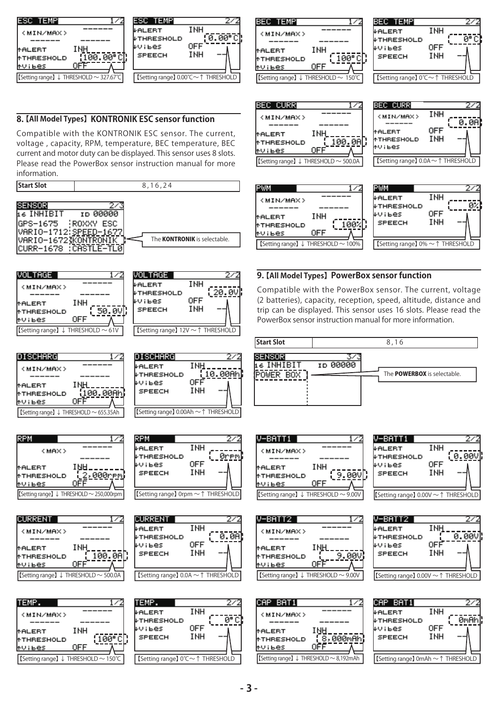

#### **8. 【All Model Types】 KONTRONIK ESC sensor function**

Compatible with the KONTRONIK ESC sensor. The current, voltage , capacity, RPM, temperature, BEC temperature, BEC current and motor duty can be displayed. This sensor uses 8 slots. Please read the PowerBox sensor instruction manual for more information.

**Start Slot** 8,16,24





| INH                                    |
|----------------------------------------|
|                                        |
|                                        |
| [Setting range] ↓ THRESHOLD ~ 655.35Ah |
|                                        |

| <max></max>       |                                                     |
|-------------------|-----------------------------------------------------|
|                   |                                                     |
| tALERT            | INH                                                 |
| <b>MTHRESHOLD</b> | <u>.2.000rem</u>                                    |
| tVibes            |                                                     |
|                   | [Setting range] $\downarrow$ THRESHOLD ~ 250,000rpm |





| <b>SPEECH</b>                                   | INH        |  |
|-------------------------------------------------|------------|--|
| [Setting range] $0.0A \sim \uparrow$ THRESHOLD] |            |  |
|                                                 |            |  |
| TEMP.                                           |            |  |
| <b>ALERT</b>                                    | INH        |  |
| <b>FHRESHOLD</b>                                |            |  |
| wibes                                           | <b>OFF</b> |  |
| SPEECH                                          | INH        |  |

【Setting range】 ↓ THRESHOLD ~ 655.35Ah 【Setting range】 0.00Ah ~↑ THRESHOLD

**DISCHARG** 

WTHRESHOLD

↓ALERT

wiьes

**RPM** 

↓ALERT

RV I Bes

**SPEECH** 

**CURRENT** 

**FTHRESHOLD** 

LALERT

**LUTLES** 

FTHRESHOLD

**SPEECH** 

<u>(20.0V</u>

27

272

ランジ

0.0A

<u> Ørem</u>

10.00Ah

OFF

INH

INH

0FF

INH

INH

**OFF** 

INH

**INH** 

**OFF** 

【Setting range】 ↓ THRESHOLD ~ 250,000rpm 【Setting range】 0rpm ~↑ THRESHOLD

| BEC TEMP<br>72<br><min max=""><br/>INH<br/><b>MALERT</b><br/>100" сГ.<br/><b>MTHRESHOLD</b></min> | BEC TEMP<br>INH<br><b>WALERT</b><br><b>WIHRESHOLD</b><br>OFF<br>WVIBes<br>INH<br><b>SPEECH</b> | 2,<br>Gо |
|---------------------------------------------------------------------------------------------------|------------------------------------------------------------------------------------------------|----------|
| าFF<br><b>MVTBes</b>                                                                              |                                                                                                |          |
| [Setting range] ↓ THRESHOLD $\sim 150^{\circ}$ C                                                  | I 【Setting range】 0°C~↑ THRESHOLD                                                              |          |

| BEC TEMPI<br>∤ALERT<br>↓THRESHOLD<br>₽ViBes<br><b>SPEECH</b> | INH<br>OFF<br>INH |  |
|--------------------------------------------------------------|-------------------|--|
| 【Setting range】 0℃~1 THRESHOLD                               |                   |  |





#### **9. 【All Model Types】 PowerBox sensor function**

Compatible with the PowerBox sensor. The current, voltage (2 batteries), capacity, reception, speed, altitude, distance and trip can be displayed. This sensor uses 16 slots. Please read the PowerBox sensor instruction manual for more information.



| -BATT1                                         |     |  |
|------------------------------------------------|-----|--|
| <min max=""></min>                             |     |  |
|                                                |     |  |
| MALERT                                         | INH |  |
| <b>MTHRESHOLD</b>                              |     |  |
| <b>MVIBes</b>                                  | OFF |  |
| [Setting range] $\downarrow$ THRESHOLD ~ 9.00V |     |  |



ラン

V-BATT1